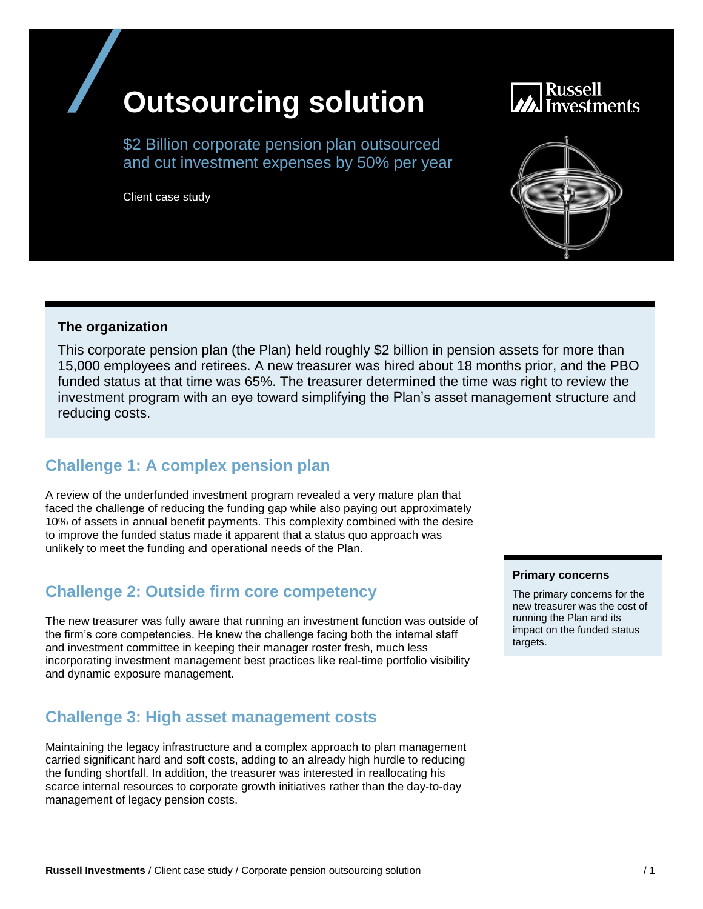# **Outsourcing solution**

\$2 Billion corporate pension plan outsourced and cut investment expenses by 50% per year

Client case study

#### **The organization**

This corporate pension plan (the Plan) held roughly \$2 billion in pension assets for more than 15,000 employees and retirees. A new treasurer was hired about 18 months prior, and the PBO funded status at that time was 65%. The treasurer determined the time was right to review the investment program with an eye toward simplifying the Plan's asset management structure and reducing costs.

### **Challenge 1: A complex pension plan**

A review of the underfunded investment program revealed a very mature plan that faced the challenge of reducing the funding gap while also paying out approximately 10% of assets in annual benefit payments. This complexity combined with the desire to improve the funded status made it apparent that a status quo approach was unlikely to meet the funding and operational needs of the Plan.

#### **Challenge 2: Outside firm core competency**

The new treasurer was fully aware that running an investment function was outside of the firm's core competencies. He knew the challenge facing both the internal staff and investment committee in keeping their manager roster fresh, much less incorporating investment management best practices like real-time portfolio visibility and dynamic exposure management.

#### **Challenge 3: High asset management costs**

Maintaining the legacy infrastructure and a complex approach to plan management carried significant hard and soft costs, adding to an already high hurdle to reducing the funding shortfall. In addition, the treasurer was interested in reallocating his scarce internal resources to corporate growth initiatives rather than the day-to-day management of legacy pension costs.

#### **Primary concerns**

The primary concerns for the new treasurer was the cost of running the Plan and its impact on the funded status targets.



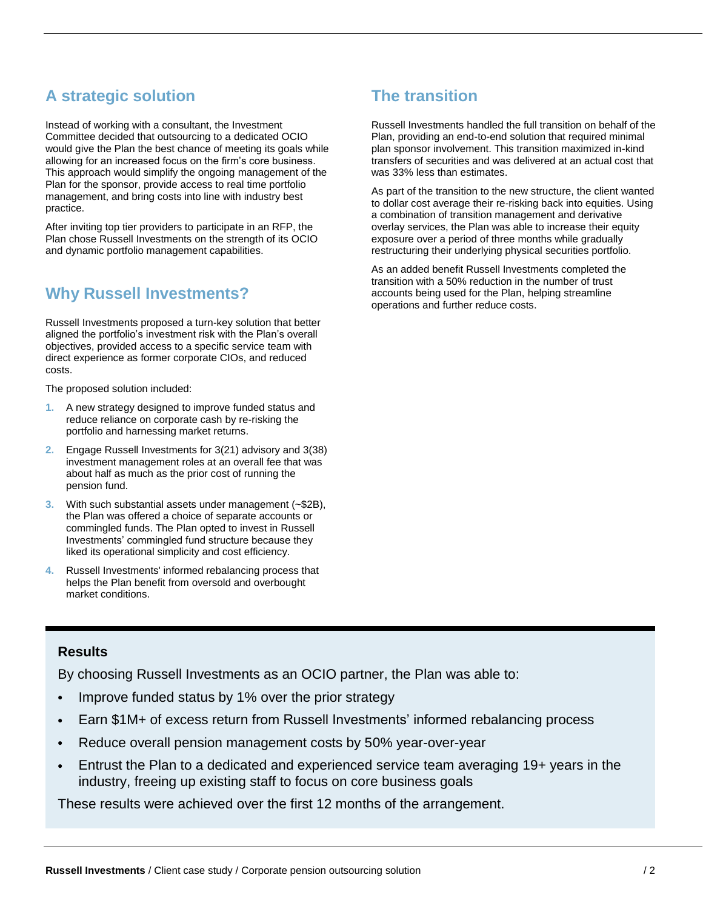## **A strategic solution**

Instead of working with a consultant, the Investment Committee decided that outsourcing to a dedicated OCIO would give the Plan the best chance of meeting its goals while allowing for an increased focus on the firm's core business. This approach would simplify the ongoing management of the Plan for the sponsor, provide access to real time portfolio management, and bring costs into line with industry best practice.

After inviting top tier providers to participate in an RFP, the Plan chose Russell Investments on the strength of its OCIO and dynamic portfolio management capabilities.

#### **Why Russell Investments?**

Russell Investments proposed a turn-key solution that better aligned the portfolio's investment risk with the Plan's overall objectives, provided access to a specific service team with direct experience as former corporate CIOs, and reduced costs.

The proposed solution included:

- **1.** A new strategy designed to improve funded status and reduce reliance on corporate cash by re-risking the portfolio and harnessing market returns.
- **2.** Engage Russell Investments for 3(21) advisory and 3(38) investment management roles at an overall fee that was about half as much as the prior cost of running the pension fund.
- **3.** With such substantial assets under management (~\$2B), the Plan was offered a choice of separate accounts or commingled funds. The Plan opted to invest in Russell Investments' commingled fund structure because they liked its operational simplicity and cost efficiency.
- **4.** Russell Investments' informed rebalancing process that helps the Plan benefit from oversold and overbought market conditions.

## **The transition**

Russell Investments handled the full transition on behalf of the Plan, providing an end-to-end solution that required minimal plan sponsor involvement. This transition maximized in-kind transfers of securities and was delivered at an actual cost that was 33% less than estimates.

As part of the transition to the new structure, the client wanted to dollar cost average their re-risking back into equities. Using a combination of transition management and derivative overlay services, the Plan was able to increase their equity exposure over a period of three months while gradually restructuring their underlying physical securities portfolio.

As an added benefit Russell Investments completed the transition with a 50% reduction in the number of trust accounts being used for the Plan, helping streamline operations and further reduce costs.

#### **Results**

By choosing Russell Investments as an OCIO partner, the Plan was able to:

- Improve funded status by 1% over the prior strategy
- Earn \$1M+ of excess return from Russell Investments' informed rebalancing process
- Reduce overall pension management costs by 50% year-over-year
- Entrust the Plan to a dedicated and experienced service team averaging 19+ years in the industry, freeing up existing staff to focus on core business goals

These results were achieved over the first 12 months of the arrangement.